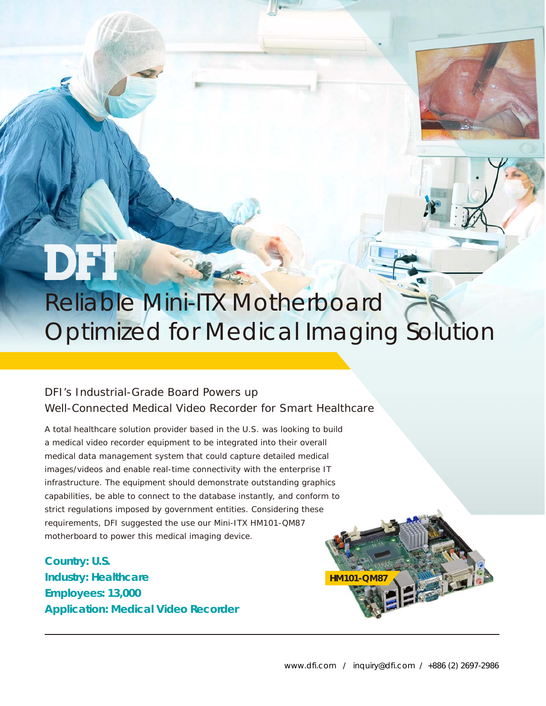

## *Reliable Mini-ITX Motherboard Optimized for Medical Imaging Solution*

### DFI's Industrial-Grade Board Powers up Well-Connected Medical Video Recorder for Smart Healthcare

A total healthcare solution provider based in the U.S. was looking to build a medical video recorder equipment to be integrated into their overall medical data management system that could capture detailed medical images/videos and enable real-time connectivity with the enterprise IT infrastructure. The equipment should demonstrate outstanding graphics capabilities, be able to connect to the database instantly, and conform to strict regulations imposed by government entities. Considering these requirements, DFI suggested the use our Mini-ITX HM101-QM87 motherboard to power this medical imaging device.

**Country: U.S. Industry: Healthcare Employees: 13,000 Application: Medical Video Recorder**

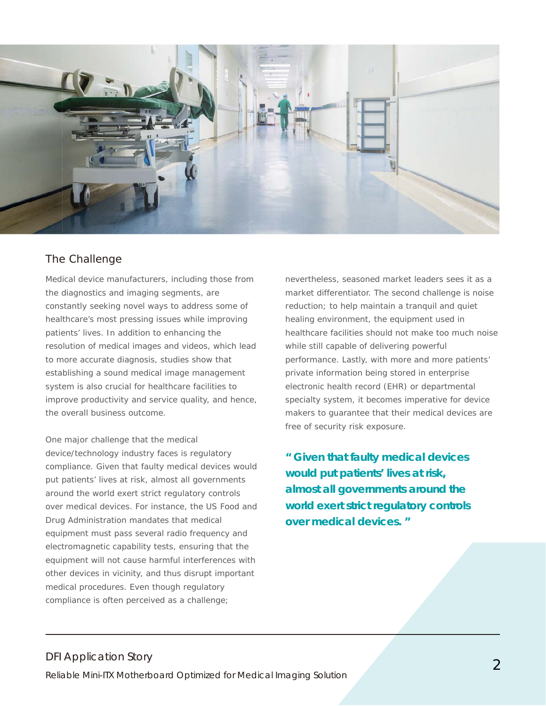

#### The Challenge

Medical device manufacturers, including those from the diagnostics and imaging segments, are constantly seeking novel ways to address some of healthcare's most pressing issues while improving patients' lives. In addition to enhancing the resolution of medical images and videos, which lead to more accurate diagnosis, studies show that establishing a sound medical image management system is also crucial for healthcare facilities to improve productivity and service quality, and hence, the overall business outcome.

One major challenge that the medical device/technology industry faces is regulatory compliance. Given that faulty medical devices would put patients' lives at risk, almost all governments around the world exert strict regulatory controls over medical devices. For instance, the US Food and Drug Administration mandates that medical equipment must pass several radio frequency and electromagnetic capability tests, ensuring that the equipment will not cause harmful interferences with other devices in vicinity, and thus disrupt important medical procedures. Even though regulatory compliance is often perceived as a challenge;

nevertheless, seasoned market leaders sees it as a market differentiator. The second challenge is noise reduction; to help maintain a tranquil and quiet healing environment, the equipment used in healthcare facilities should not make too much noise while still capable of delivering powerful performance. Lastly, with more and more patients' private information being stored in enterprise electronic health record (EHR) or departmental specialty system, it becomes imperative for device makers to guarantee that their medical devices are free of security risk exposure.

**" Given that faulty medical devices would put patients' lives at risk, almost all governments around the world exert strict regulatory controls over medical devices. "**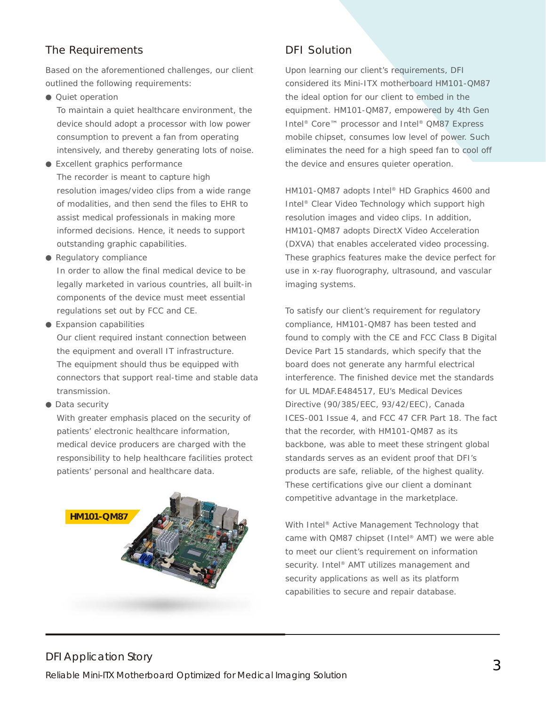#### The Requirements **DFI** Solution

Based on the aforementioned challenges, our client outlined the following requirements:

● Quiet operation

 To maintain a quiet healthcare environment, the device should adopt a processor with low power consumption to prevent a fan from operating intensively, and thereby generating lots of noise.

- Excellent graphics performance The recorder is meant to capture high resolution images/video clips from a wide range of modalities, and then send the files to EHR to assist medical professionals in making more informed decisions. Hence, it needs to support outstanding graphic capabilities.
- Regulatory compliance

 In order to allow the final medical device to be legally marketed in various countries, all built-in components of the device must meet essential regulations set out by FCC and CE.

- Expansion capabilities Our client required instant connection between the equipment and overall IT infrastructure. The equipment should thus be equipped with connectors that support real-time and stable data transmission.
- Data security

 With greater emphasis placed on the security of patients' electronic healthcare information, medical device producers are charged with the responsibility to help healthcare facilities protect patients' personal and healthcare data.



Upon learning our client's requirements, DFI considered its Mini-ITX motherboard HM101-QM87 the ideal option for our client to embed in the equipment. HM101-QM87, empowered by 4th Gen Intel® Core™ processor and Intel® QM87 Express mobile chipset, consumes low level of power. Such eliminates the need for a high speed fan to cool off the device and ensures quieter operation.

HM101-QM87 adopts Intel® HD Graphics 4600 and Intel® Clear Video Technology which support high resolution images and video clips. In addition, HM101-QM87 adopts DirectX Video Acceleration (DXVA) that enables accelerated video processing. These graphics features make the device perfect for use in x-ray fluorography, ultrasound, and vascular imaging systems.

To satisfy our client's requirement for regulatory compliance, HM101-QM87 has been tested and found to comply with the CE and FCC Class B Digital Device Part 15 standards, which specify that the board does not generate any harmful electrical interference. The finished device met the standards for UL MDAF.E484517, EU's Medical Devices Directive (90/385/EEC, 93/42/EEC), Canada ICES-001 Issue 4, and FCC 47 CFR Part 18. The fact that the recorder, with HM101-QM87 as its backbone, was able to meet these stringent global standards serves as an evident proof that DFI's products are safe, reliable, of the highest quality. These certifications give our client a dominant competitive advantage in the marketplace.

With Intel® Active Management Technology that came with QM87 chipset (Intel® AMT) we were able to meet our client's requirement on information security. Intel<sup>®</sup> AMT utilizes management and security applications as well as its platform capabilities to secure and repair database.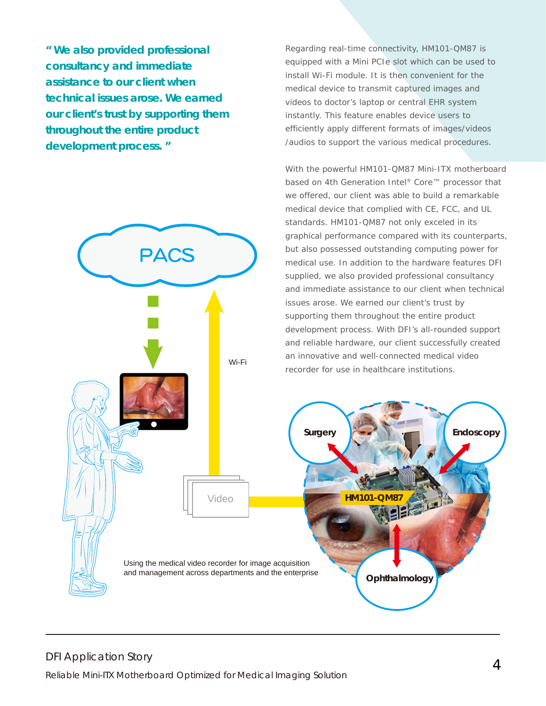**" We also provided professional consultancy and immediate assistance to our client when technical issues arose. We earned our client's trust by supporting them throughout the entire product development process. "**



Regarding real-time connectivity, HM101-QM87 is equipped with a Mini PCIe slot which can be used to install Wi-Fi module. It is then convenient for the medical device to transmit captured images and videos to doctor's laptop or central EHR system instantly. This feature enables device users to efficiently apply different formats of images/videos /audios to support the various medical procedures.

With the powerful HM101-QM87 Mini-ITX motherboard based on 4th Generation Intel® Core™ processor that we offered, our client was able to build a remarkable medical device that complied with CE, FCC, and UL standards. HM101-QM87 not only exceled in its graphical performance compared with its counterparts, but also possessed outstanding computing power for medical use. In addition to the hardware features DFI supplied, we also provided professional consultancy and immediate assistance to our client when technical issues arose. We earned our client's trust by supporting them throughout the entire product development process. With DFI's all-rounded support and reliable hardware, our client successfully created an innovative and well-connected medical video recorder for use in healthcare institutions.

*Surgery Endoscopy Surgery Endoscop*

*HM101-QM87*

*Ophthalmology*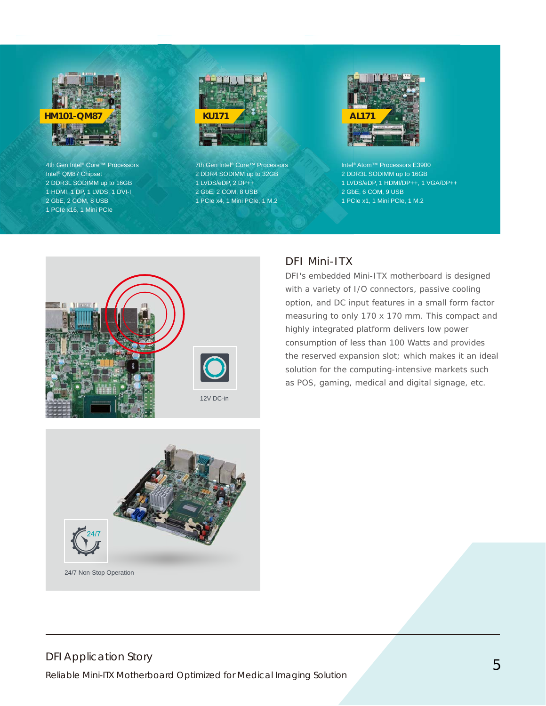

4th Gen Intel® Core™ Processors Intel® QM87 Chipset 2 DDR3L SODIMM up to 16GB 1 HDMI, 1 DP, 1 LVDS, 1 DVI-I 2 GbE, 2 COM, 8 USB 1 PCIe x16, 1 Mini PCIe



7th Gen Intel® Core™ Processors 2 DDR4 SODIMM up to 32GB 1 LVDS/eDP, 2 DP++ 2 GbE, 2 COM, 8 USB 1 PCIe x4, 1 Mini PCIe, 1 M.2



Intel® Atom™ Processors E3900 2 DDR3L SODIMM up to 16GB 1 LVDS/eDP, 1 HDMI/DP++, 1 VGA/DP++ 2 GbE, 6 COM, 9 USB 1 PCIe x1, 1 Mini PCIe, 1 M.2



#### DFI Mini-ITX

DFI's embedded Mini-ITX motherboard is designed with a variety of I/O connectors, passive cooling option, and DC input features in a small form factor measuring to only 170 x 170 mm. This compact and highly integrated platform delivers low power consumption of less than 100 Watts and provides the reserved expansion slot; which makes it an ideal solution for the computing-intensive markets such as POS, gaming, medical and digital signage, etc.